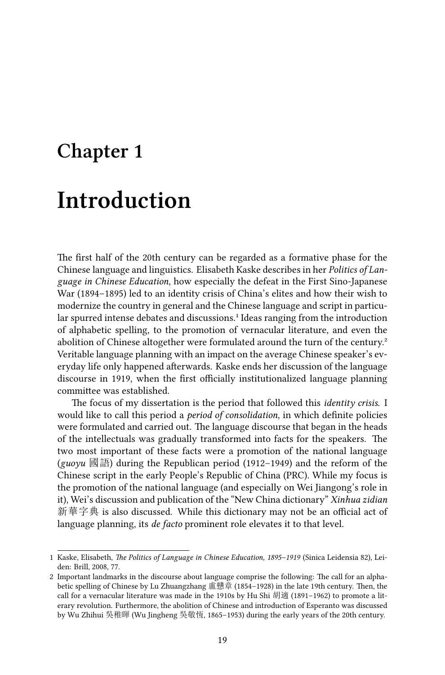# **Chapter 1 Introduction**

The first half of the 20th century can be regarded as a formative phase for the Chinese language and linguistics. Elisabeth Kaske describes in her *Politics of Language in Chinese Education*, how especially the defeat in the First Sino-Japanese War (1894–1895) led to an identity crisis of China's elites and how their wish to modernize the country in general and the Chinese language and script in particular spurred intense debates and discussions.<sup>1</sup> Ideas ranging from the introduction of alphabetic spelling, to the promotion of vernacular literature, and even the abolition of Chinese altogether were formulated around the turn of the century.<sup>2</sup> Veritable language planning with an impact on the average Chinese speaker's everyday life only happened afterwards. Kaske ends her discussion of the language discourse in 1919, when the first officially institutionalized language planning committee was established.

The focus of my dissertation is the period that followed this *identity crisis*. I would like to call this period a *period of consolidation*, in which definite policies were formulated and carried out. The language discourse that began in the heads of the intellectuals was gradually transformed into facts for the speakers. The two most important of these facts were a promotion of the national language (*guoyu* 國語) during the Republican period (1912–1949) and the reform of the Chinese script in the early People's Republic of China (PRC). While my focus is the promotion of the national language (and especially on Wei Jiangong's role in it), Wei's discussion and publication of the "New China dictionary" *Xinhua zidian* 新華字典 is also discussed. While this dictionary may not be an official act of language planning, its *de facto* prominent role elevates it to that level.

<sup>1</sup> Kaske, Elisabeth, *The Politics of Language in Chinese Education, 1895–1919* (Sinica Leidensia 82), Leiden: Brill, 2008, 77.

<sup>2</sup> Important landmarks in the discourse about language comprise the following: The call for an alphabetic spelling of Chinese by Lu Zhuangzhang 盧戇章 (1854–1928) in the late 19th century. Then, the call for a vernacular literature was made in the 1910s by Hu Shi 胡適 (1891–1962) to promote a literary revolution. Furthermore, the abolition of Chinese and introduction of Esperanto was discussed by Wu Zhihui 吳稚暉 (Wu Jingheng 吳敬恆, 1865–1953) during the early years of the 20th century.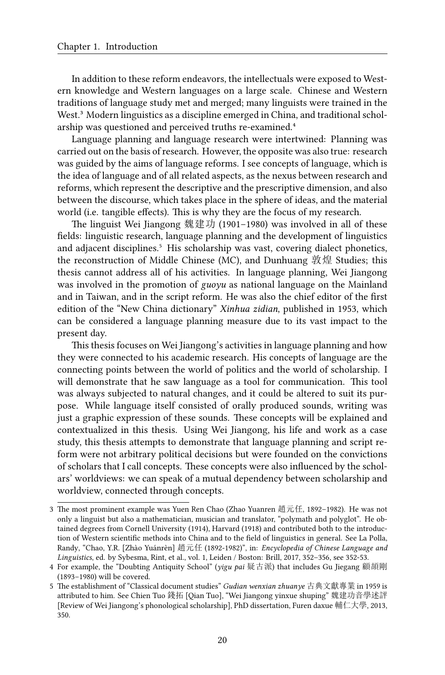In addition to these reform endeavors, the intellectuals were exposed to Western knowledge and Western languages on a large scale. Chinese and Western traditions of language study met and merged; many linguists were trained in the West.<sup>3</sup> Modern linguistics as a discipline emerged in China, and traditional scholarship was questioned and perceived truths re-examined.<sup>4</sup>

Language planning and language research were intertwined: Planning was carried out on the basis of research. However, the opposite was also true: research was guided by the aims of language reforms. I see concepts of language, which is the idea of language and of all related aspects, as the nexus between research and reforms, which represent the descriptive and the prescriptive dimension, and also between the discourse, which takes place in the sphere of ideas, and the material world (i.e. tangible effects). This is why they are the focus of my research.

The linguist Wei Jiangong 魏建功 (1901–1980) was involved in all of these fields: linguistic research, language planning and the development of linguistics and adjacent disciplines.<sup>5</sup> His scholarship was vast, covering dialect phonetics, the reconstruction of Middle Chinese (MC), and Dunhuang 敦煌 Studies; this thesis cannot address all of his activities. In language planning, Wei Jiangong was involved in the promotion of *guoyu* as national language on the Mainland and in Taiwan, and in the script reform. He was also the chief editor of the first edition of the "New China dictionary" *Xinhua zidian*, published in 1953, which can be considered a language planning measure due to its vast impact to the present day.

This thesis focuses on Wei Jiangong's activities in language planning and how they were connected to his academic research. His concepts of language are the connecting points between the world of politics and the world of scholarship. I will demonstrate that he saw language as a tool for communication. This tool was always subjected to natural changes, and it could be altered to suit its purpose. While language itself consisted of orally produced sounds, writing was just a graphic expression of these sounds. These concepts will be explained and contextualized in this thesis. Using Wei Jiangong, his life and work as a case study, this thesis attempts to demonstrate that language planning and script reform were not arbitrary political decisions but were founded on the convictions of scholars that I call concepts. These concepts were also influenced by the scholars' worldviews: we can speak of a mutual dependency between scholarship and worldview, connected through concepts.

<sup>3</sup> The most prominent example was Yuen Ren Chao (Zhao Yuanren 趙元任, 1892–1982). He was not only a linguist but also a mathematician, musician and translator, "polymath and polyglot". He obtained degrees from Cornell University (1914), Harvard (1918) and contributed both to the introduction of Western scientific methods into China and to the field of linguistics in general. See La Polla, Randy, "Chao, Y.R. [Zhào Yuánrèn] 趙元任 (1892-1982)", in: *Encyclopedia of Chinese Language and Linguistics*, ed. by Sybesma, Rint, et al., vol. 1, Leiden / Boston: Brill, 2017, 352–356, see 352-53.

<sup>4</sup> For example, the "Doubting Antiquity School" (*yigu pai* 疑古派) that includes Gu Jiegang 顧頡剛 (1893–1980) will be covered.

<sup>5</sup> The establishment of "Classical document studies" *Gudian wenxian zhuanye* 古典文獻專業 in 1959 is attributed to him. See Chien Tuo 錢拓 [Qian Tuo], "Wei Jiangong yinxue shuping" 魏建功音學述評 [Review of Wei Jiangong's phonological scholarship], PhD dissertation, Furen daxue 輔仁大學, 2013, 350.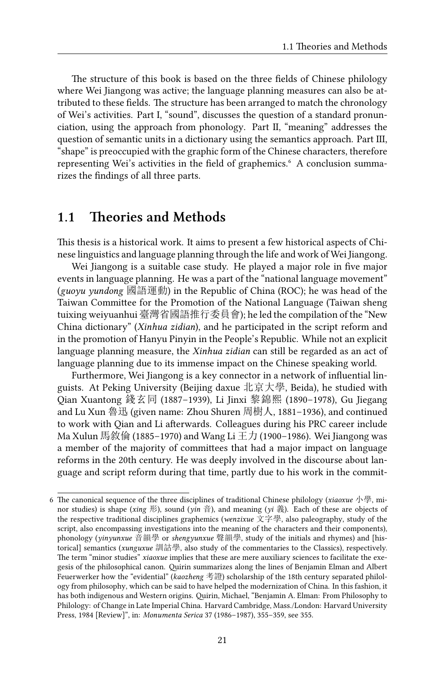The structure of this book is based on the three fields of Chinese philology where Wei Jiangong was active; the language planning measures can also be attributed to these fields. The structure has been arranged to match the chronology of Wei's activities. Part I, "sound", discusses the question of a standard pronunciation, using the approach from phonology. Part II, "meaning" addresses the question of semantic units in a dictionary using the semantics approach. Part III, "shape" is preoccupied with the graphic form of the Chinese characters, therefore representing Wei's activities in the field of graphemics. A conclusion summarizes the findings of all three parts.

#### **1.1 Theories and Methods**

This thesis is a historical work. It aims to present a few historical aspects of Chinese linguistics and language planning through the life and work of Wei Jiangong.

Wei Jiangong is a suitable case study. He played a major role in five major events in language planning. He was a part of the "national language movement" (*guoyu yundong* 國語運動) in the Republic of China (ROC); he was head of the Taiwan Committee for the Promotion of the National Language (Taiwan sheng tuixing weiyuanhui 臺灣省國語推行委員會); he led the compilation of the "New China dictionary" (*Xinhua zidian*), and he participated in the script reform and in the promotion of Hanyu Pinyin in the People's Republic. While not an explicit language planning measure, the *Xinhua zidian* can still be regarded as an act of language planning due to its immense impact on the Chinese speaking world.

Furthermore, Wei Jiangong is a key connector in a network of influential linguists. At Peking University (Beijing daxue 北京大學, Beida), he studied with Qian Xuantong 錢玄同 (1887–1939), Li Jinxi 黎錦熙 (1890–1978), Gu Jiegang and Lu Xun 魯迅 (given name: Zhou Shuren 周樹人, 1881–1936), and continued to work with Qian and Li afterwards. Colleagues during his PRC career include Ma Xulun 馬敘倫 (1885–1970) and Wang Li  $\pm \mathcal{D}$  (1900–1986). Wei Jiangong was a member of the majority of committees that had a major impact on language reforms in the 20th century. He was deeply involved in the discourse about language and script reform during that time, partly due to his work in the commit-

<sup>6</sup> The canonical sequence of the three disciplines of traditional Chinese philology (*xiaoxue* 小學, minor studies) is shape (*xing* 形), sound (*yin* 音), and meaning (*yi* 義). Each of these are objects of the respective traditional disciplines graphemics (*wenzixue* 文字學, also paleography, study of the script, also encompassing investigations into the meaning of the characters and their components), phonology (*yinyunxue* 音韻學 or *shengyunxue* 聲韻學, study of the initials and rhymes) and [historical] semantics (*xunguxue* 訓詁學, also study of the commentaries to the Classics), respectively. The term "minor studies" *xiaoxue* implies that these are mere auxiliary sciences to facilitate the exegesis of the philosophical canon. Quirin summarizes along the lines of Benjamin Elman and Albert Feuerwerker how the "evidential" (*kaozheng* 考證) scholarship of the 18th century separated philology from philosophy, which can be said to have helped the modernization of China. In this fashion, it has both indigenous and Western origins. Quirin, Michael, "Benjamin A. Elman: From Philosophy to Philology: of Change in Late Imperial China. Harvard Cambridge, Mass./London: Harvard University Press, 1984 [Review]", in: *Monumenta Serica* 37 (1986–1987), 355–359, see 355.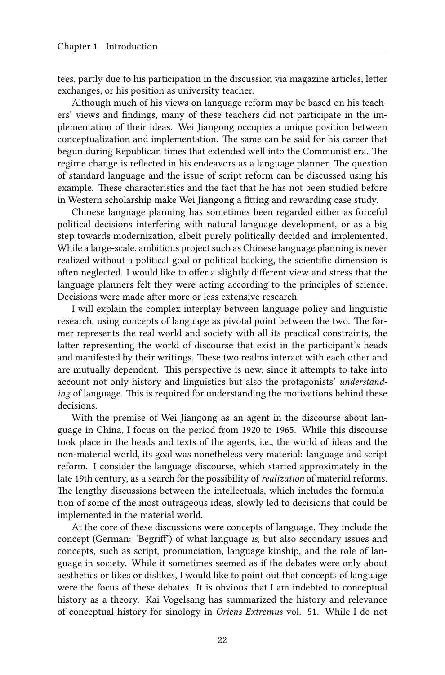tees, partly due to his participation in the discussion via magazine articles, letter exchanges, or his position as university teacher.

Although much of his views on language reform may be based on his teachers' views and findings, many of these teachers did not participate in the implementation of their ideas. Wei Jiangong occupies a unique position between conceptualization and implementation. The same can be said for his career that begun during Republican times that extended well into the Communist era. The regime change is reflected in his endeavors as a language planner. The question of standard language and the issue of script reform can be discussed using his example. These characteristics and the fact that he has not been studied before in Western scholarship make Wei Jiangong a fitting and rewarding case study.

Chinese language planning has sometimes been regarded either as forceful political decisions interfering with natural language development, or as a big step towards modernization, albeit purely politically decided and implemented. While a large-scale, ambitious project such as Chinese language planning is never realized without a political goal or political backing, the scientific dimension is often neglected. I would like to offer a slightly different view and stress that the language planners felt they were acting according to the principles of science. Decisions were made after more or less extensive research.

I will explain the complex interplay between language policy and linguistic research, using concepts of language as pivotal point between the two. The former represents the real world and society with all its practical constraints, the latter representing the world of discourse that exist in the participant's heads and manifested by their writings. These two realms interact with each other and are mutually dependent. This perspective is new, since it attempts to take into account not only history and linguistics but also the protagonists' *understanding* of language. This is required for understanding the motivations behind these decisions.

With the premise of Wei Jiangong as an agent in the discourse about language in China, I focus on the period from 1920 to 1965. While this discourse took place in the heads and texts of the agents, i.e., the world of ideas and the non-material world, its goal was nonetheless very material: language and script reform. I consider the language discourse, which started approximately in the late 19th century, as a search for the possibility of *realization* of material reforms. The lengthy discussions between the intellectuals, which includes the formulation of some of the most outrageous ideas, slowly led to decisions that could be implemented in the material world.

At the core of these discussions were concepts of language. They include the concept (German: 'Begriff') of what language *is*, but also secondary issues and concepts, such as script, pronunciation, language kinship, and the role of language in society. While it sometimes seemed as if the debates were only about aesthetics or likes or dislikes, I would like to point out that concepts of language were the focus of these debates. It is obvious that I am indebted to conceptual history as a theory. Kai Vogelsang has summarized the history and relevance of conceptual history for sinology in *Oriens Extremus* vol. 51. While I do not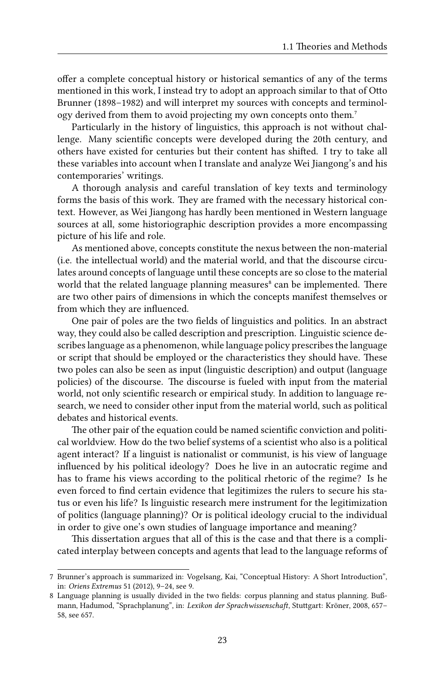offer a complete conceptual history or historical semantics of any of the terms mentioned in this work, I instead try to adopt an approach similar to that of Otto Brunner (1898–1982) and will interpret my sources with concepts and terminology derived from them to avoid projecting my own concepts onto them.<sup>7</sup>

Particularly in the history of linguistics, this approach is not without challenge. Many scientific concepts were developed during the 20th century, and others have existed for centuries but their content has shifted. I try to take all these variables into account when I translate and analyze Wei Jiangong's and his contemporaries' writings.

A thorough analysis and careful translation of key texts and terminology forms the basis of this work. They are framed with the necessary historical context. However, as Wei Jiangong has hardly been mentioned in Western language sources at all, some historiographic description provides a more encompassing picture of his life and role.

As mentioned above, concepts constitute the nexus between the non-material (i.e. the intellectual world) and the material world, and that the discourse circulates around concepts of language until these concepts are so close to the material world that the related language planning measures<sup>8</sup> can be implemented. There are two other pairs of dimensions in which the concepts manifest themselves or from which they are influenced.

One pair of poles are the two fields of linguistics and politics. In an abstract way, they could also be called description and prescription. Linguistic science describes language as a phenomenon, while language policy prescribes the language or script that should be employed or the characteristics they should have. These two poles can also be seen as input (linguistic description) and output (language policies) of the discourse. The discourse is fueled with input from the material world, not only scientific research or empirical study. In addition to language research, we need to consider other input from the material world, such as political debates and historical events.

The other pair of the equation could be named scientific conviction and political worldview. How do the two belief systems of a scientist who also is a political agent interact? If a linguist is nationalist or communist, is his view of language influenced by his political ideology? Does he live in an autocratic regime and has to frame his views according to the political rhetoric of the regime? Is he even forced to find certain evidence that legitimizes the rulers to secure his status or even his life? Is linguistic research mere instrument for the legitimization of politics (language planning)? Or is political ideology crucial to the individual in order to give one's own studies of language importance and meaning?

This dissertation argues that all of this is the case and that there is a complicated interplay between concepts and agents that lead to the language reforms of

<sup>7</sup> Brunner's approach is summarized in: Vogelsang, Kai, "Conceptual History: A Short Introduction", in: *Oriens Extremus* 51 (2012), 9–24, see 9.

<sup>8</sup> Language planning is usually divided in the two fields: corpus planning and status planning. Bußmann, Hadumod, "Sprachplanung", in: *Lexikon der Sprachwissenschaft*, Stuttgart: Kröner, 2008, 657– 58, see 657.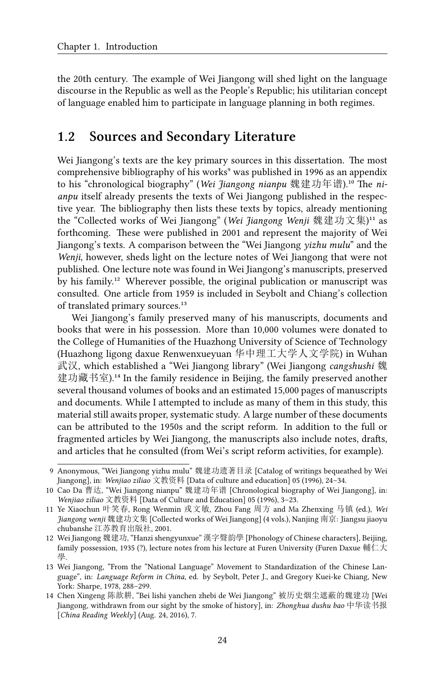the 20th century. The example of Wei Jiangong will shed light on the language discourse in the Republic as well as the People's Republic; his utilitarian concept of language enabled him to participate in language planning in both regimes.

#### **1.2 Sources and Secondary Literature**

Wei Jiangong's texts are the key primary sources in this dissertation. The most comprehensive bibliography of his works<sup>9</sup> was published in 1996 as an appendix to his "chronological biography" (Wei Jiangong nianpu 魏建功年谱).<sup>10</sup> The ni*anpu* itself already presents the texts of Wei Jiangong published in the respective year. The bibliography then lists these texts by topics, already mentioning the "Collected works of Wei Jiangong" (*Wei Jiangong Wenji* 魏建功文集)<sup>11</sup> as forthcoming. These were published in 2001 and represent the majority of Wei Jiangong's texts. A comparison between the "Wei Jiangong *yizhu mulu*" and the *Wenji*, however, sheds light on the lecture notes of Wei Jiangong that were not published. One lecture note was found in Wei Jiangong's manuscripts, preserved by his family.<sup>12</sup> Wherever possible, the original publication or manuscript was consulted. One article from 1959 is included in Seybolt and Chiang's collection of translated primary sources.<sup>13</sup>

Wei Jiangong's family preserved many of his manuscripts, documents and books that were in his possession. More than 10,000 volumes were donated to the College of Humanities of the Huazhong University of Science of Technology (Huazhong ligong daxue Renwenxueyuan 华中理工大学人文学院) in Wuhan 武汉, which established a "Wei Jiangong library" (Wei Jiangong *cangshushi* 魏 建功藏书室).<sup>14</sup> In the family residence in Beijing, the family preserved another several thousand volumes of books and an estimated 15,000 pages of manuscripts and documents. While I attempted to include as many of them in this study, this material still awaits proper, systematic study. A large number of these documents can be attributed to the 1950s and the script reform. In addition to the full or fragmented articles by Wei Jiangong, the manuscripts also include notes, drafts, and articles that he consulted (from Wei's script reform activities, for example).

<sup>9</sup> Anonymous, "Wei Jiangong yizhu mulu" 魏建功遗著目录 [Catalog of writings bequeathed by Wei Jiangong], in: *Wenjiao ziliao* 文教资料 [Data of culture and education] 05 (1996), 24–34.

<sup>10</sup> Cao Da 曹达, "Wei Jiangong nianpu" 魏建功年谱 [Chronological biography of Wei Jiangong], in: *Wenjiao ziliao* 文教资料 [Data of Culture and Education] 05 (1996), 3–23.

<sup>11</sup> Ye Xiaochun 叶笑春, Rong Wenmin 戎文敏, Zhou Fang 周方 and Ma Zhenxing 马镇 (ed.), *Wei Jiangong wenji* 魏建功文集 [Collected works of Wei Jiangong] (4 vols.), Nanjing 南京: Jiangsu jiaoyu chubanshe 江苏教育出版社, 2001.

<sup>12</sup> Wei Jiangong 魏建功, "Hanzi shengyunxue" 漢字聲韵學 [Phonology of Chinese characters], Beijing, family possession, 1935 (?), lecture notes from his lecture at Furen University (Furen Daxue 輔仁大 學.

<sup>13</sup> Wei Jiangong, "From the "National Language" Movement to Standardization of the Chinese Language", in: *Language Reform in China*, ed. by Seybolt, Peter J., and Gregory Kuei-ke Chiang, New York: Sharpe, 1978, 288–299.

<sup>14</sup> Chen Xingeng 陈歆耕, "Bei lishi yanchen zhebi de Wei Jiangong" 被历史烟尘遮蔽的魏建功 [Wei Jiangong, withdrawn from our sight by the smoke of history], in: *Zhonghua dushu bao* 中华读书报 [*China Reading Weekly*] (Aug. 24, 2016), 7.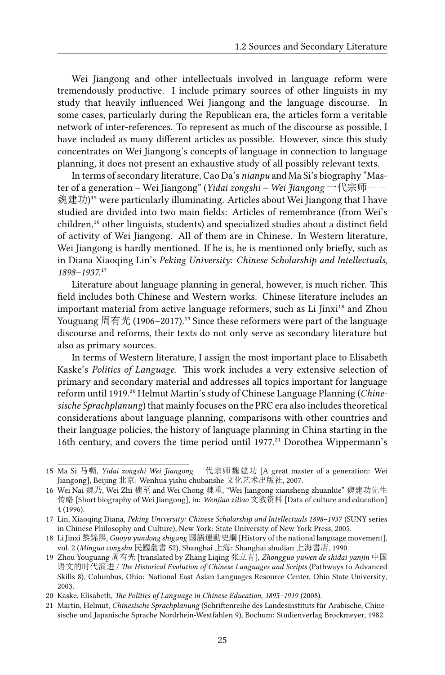Wei Jiangong and other intellectuals involved in language reform were tremendously productive. I include primary sources of other linguists in my study that heavily influenced Wei Jiangong and the language discourse. In some cases, particularly during the Republican era, the articles form a veritable network of inter-references. To represent as much of the discourse as possible, I have included as many different articles as possible. However, since this study concentrates on Wei Jiangong's concepts of language in connection to language planning, it does not present an exhaustive study of all possibly relevant texts.

In terms of secondary literature, Cao Da's *nianpu* and Ma Si's biography "Master of a generation – Wei Jiangong" (*Yidai zongshi – Wei Jiangong* 一代宗师-- 魏建功)<sup>15</sup> were particularly illuminating. Articles about Wei Jiangong that I have studied are divided into two main fields: Articles of remembrance (from Wei's children,<sup>16</sup> other linguists, students) and specialized studies about a distinct field of activity of Wei Jiangong. All of them are in Chinese. In Western literature, Wei Jiangong is hardly mentioned. If he is, he is mentioned only briefly, such as in Diana Xiaoqing Lin's *Peking University: Chinese Scholarship and Intellectuals,* 1898–1937.<sup>17</sup>

Literature about language planning in general, however, is much richer. This field includes both Chinese and Western works. Chinese literature includes an important material from active language reformers, such as Li Jinxi<sup>18</sup> and Zhou Youguang 周有光 (1906–2017).<sup>19</sup> Since these reformers were part of the language discourse and reforms, their texts do not only serve as secondary literature but also as primary sources.

In terms of Western literature, I assign the most important place to Elisabeth Kaske's *Politics of Language*. This work includes a very extensive selection of primary and secondary material and addresses all topics important for language reform until 1919.²⁰ Helmut Martin's study of Chinese Language Planning (*Chinesische Sprachplanung*) that mainly focuses on the PRC era also includes theoretical considerations about language planning, comparisons with other countries and their language policies, the history of language planning in China starting in the 16th century, and covers the time period until  $1977<sup>21</sup>$  Dorothea Wippermann's

<sup>15</sup> Ma Si 马嘶, *Yidai zongshi Wei Jiangong* 一代宗师魏建功 [A great master of a generation: Wei Jiangong], Beijing 北京: Wenhua yishu chubanshe 文化艺术出版社, 2007.

<sup>16</sup> Wei Nai 魏乃, Wei Zhi 魏至 and Wei Chong 魏重, "Wei Jiangong xiansheng zhuanlüe" 魏建功先生 传略 [Short biography of Wei Jiangong], in: *Wenjiao ziliao* 文教资料 [Data of culture and education] 4 (1996).

<sup>17</sup> Lin, Xiaoqing Diana, *Peking University: Chinese Scholarship and Intellectuals 1898–1937* (SUNY series in Chinese Philosophy and Culture), New York: State University of New York Press, 2005.

<sup>18</sup> Li Jinxi 黎錦熙, *Guoyu yundong shigang* 國語運動史綱 [History of the national language movement], vol. 2 (*Minguo congshu* 民國叢書 52), Shanghai 上海: Shanghai shudian 上海書店, 1990.

<sup>19</sup> Zhou Youguang 周有光 [translated by Zhang Liqing 张立青], *Zhongguo yuwen de shidai yanjin* 中国 语文的时代演进 / *The Historical Evolution of Chinese Languages and Scripts* (Pathways to Advanced Skills 8), Columbus, Ohio: National East Asian Languages Resource Center, Ohio State University, 2003.

<sup>20</sup> Kaske, Elisabeth, *The Politics of Language in Chinese Education, 1895–1919* (2008).

<sup>21</sup> Martin, Helmut, *Chinesische Sprachplanung* (Schriftenreihe des Landesinstituts für Arabische, Chinesische und Japanische Sprache Nordrhein-Westfahlen 9), Bochum: Studienverlag Brockmeyer, 1982.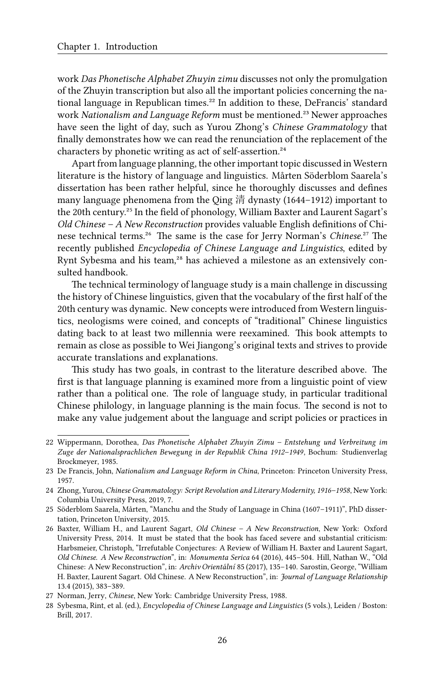work *Das Phonetische Alphabet Zhuyin zimu* discusses not only the promulgation of the Zhuyin transcription but also all the important policies concerning the national language in Republican times.<sup>22</sup> In addition to these, DeFrancis' standard work *Nationalism and Language Reform* must be mentioned.²³ Newer approaches have seen the light of day, such as Yurou Zhong's *Chinese Grammatology* that finally demonstrates how we can read the renunciation of the replacement of the characters by phonetic writing as act of self-assertion.<sup>24</sup>

Apart from language planning, the other important topic discussed in Western literature is the history of language and linguistics. Mårten Söderblom Saarela's dissertation has been rather helpful, since he thoroughly discusses and defines many language phenomena from the Qing 清 dynasty (1644–1912) important to the 20th century.<sup>25</sup> In the field of phonology, William Baxter and Laurent Sagart's *Old Chinese – A New Reconstruction* provides valuable English definitions of Chinese technical terms.<sup>26</sup> The same is the case for Jerry Norman's *Chinese*.<sup>27</sup> The recently published *Encyclopedia of Chinese Language and Linguistics*, edited by Rynt Sybesma and his team,<sup>28</sup> has achieved a milestone as an extensively consulted handbook.

The technical terminology of language study is a main challenge in discussing the history of Chinese linguistics, given that the vocabulary of the first half of the 20th century was dynamic. New concepts were introduced from Western linguistics, neologisms were coined, and concepts of "traditional" Chinese linguistics dating back to at least two millennia were reexamined. This book attempts to remain as close as possible to Wei Jiangong's original texts and strives to provide accurate translations and explanations.

This study has two goals, in contrast to the literature described above. The first is that language planning is examined more from a linguistic point of view rather than a political one. The role of language study, in particular traditional Chinese philology, in language planning is the main focus. The second is not to make any value judgement about the language and script policies or practices in

<sup>22</sup> Wippermann, Dorothea, *Das Phonetische Alphabet Zhuyin Zimu – Entstehung und Verbreitung im Zuge der Nationalsprachlichen Bewegung in der Republik China 1912–1949*, Bochum: Studienverlag Brockmeyer, 1985.

<sup>23</sup> De Francis, John, *Nationalism and Language Reform in China*, Princeton: Princeton University Press, 1957.

<sup>24</sup> Zhong, Yurou, *Chinese Grammatology: Script Revolution and Literary Modernity, 1916–1958*, New York: Columbia University Press, 2019, 7.

<sup>25</sup> Söderblom Saarela, Mårten, "Manchu and the Study of Language in China (1607–1911)", PhD dissertation, Princeton University, 2015.

<sup>26</sup> Baxter, William H., and Laurent Sagart, *Old Chinese – A New Reconstruction*, New York: Oxford University Press, 2014. It must be stated that the book has faced severe and substantial criticism: Harbsmeier, Christoph, "Irrefutable Conjectures: A Review of William H. Baxter and Laurent Sagart, *Old Chinese. A New Reconstruction*", in: *Monumenta Serica* 64 (2016), 445–504. Hill, Nathan W., "Old Chinese: A New Reconstruction", in: *Archiv Orientální* 85 (2017), 135–140. Sarostin, George, "William H. Baxter, Laurent Sagart. Old Chinese. A New Reconstruction", in: *Journal of Language Relationship* 13.4 (2015), 383–389.

<sup>27</sup> Norman, Jerry, *Chinese*, New York: Cambridge University Press, 1988.

<sup>28</sup> Sybesma, Rint, et al. (ed.), *Encyclopedia of Chinese Language and Linguistics* (5 vols.), Leiden / Boston: Brill, 2017.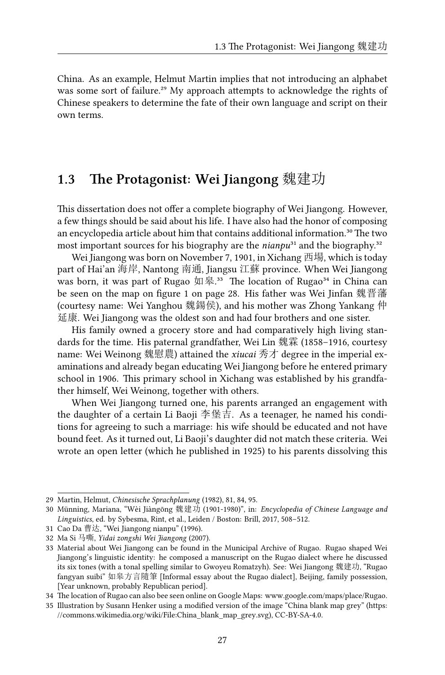China. As an example, Helmut Martin implies that not introducing an alphabet was some sort of failure.<sup>29</sup> My approach attempts to acknowledge the rights of Chinese speakers to determine the fate of their own language and script on their own terms.

### **1.3 The Protagonist: Wei Jiangong** 魏建功

This dissertation does not offer a complete biography of Wei Jiangong. However, a few things should be said about his life. I have also had the honor of composing an encyclopedia article about him that contains additional information.<sup>30</sup> The two most important sources for his biography are the *nianpu*<sup>31</sup> and the biography.<sup>32</sup>

Wei Jiangong was born on November 7, 1901, in Xichang 西場, which is today part of Hai'an 海岸, Nantong 南通, Jiangsu 江蘇 province. When Wei Jiangong was born, it was part of Rugao  $\text{Im}\,\mathbb{R}^{33}$  The location of Rugao<sup>34</sup> in China can be seen on the map on figure 1 on page 28. His father was Wei Jinfan 魏晋藩 (courtesy name: Wei Yanghou 魏鍚侯), and his mother was Zhong Yankang 仲 延康. Wei Jiangong was the oldest son and had four brothers and one sister.

His family owned a grocery store and had comparatively high living standards for the time. His paternal grandfather, Wei Lin 魏霖 (1858–1916, courtesy name: Wei Weinong 魏慰農) attained the *xiucai* 秀才 degree in the imperial examinations and already began educating Wei Jiangong before he entered primary school in 1906. This primary school in Xichang was established by his grandfather himself, Wei Weinong, together with others.

When Wei Jiangong turned one, his parents arranged an engagement with the daughter of a certain Li Baoji 李堡吉. As a teenager, he named his conditions for agreeing to such a marriage: his wife should be educated and not have bound feet. As it turned out, Li Baoji's daughter did not match these criteria. Wei wrote an open letter (which he published in 1925) to his parents dissolving this

<sup>29</sup> Martin, Helmut, *Chinesische Sprachplanung* (1982), 81, 84, 95.

<sup>30</sup> Münning, Mariana, "Wèi Jiàngōng 魏建功 (1901-1980)", in: *Encyclopedia of Chinese Language and Linguistics*, ed. by Sybesma, Rint, et al., Leiden / Boston: Brill, 2017, 508–512.

<sup>31</sup> Cao Da 曹达, "Wei Jiangong nianpu" (1996).

<sup>32</sup> Ma Si 马嘶, *Yidai zongshi Wei Jiangong* (2007).

<sup>33</sup> Material about Wei Jiangong can be found in the Municipal Archive of Rugao. Rugao shaped Wei Jiangong's linguistic identity: he composed a manuscript on the Rugao dialect where he discussed its six tones (with a tonal spelling similar to Gwoyeu Romatzyh). See: Wei Jiangong 魏建功, "Rugao fangyan suibi" 如皋方言隨筆 [Informal essay about the Rugao dialect], Beijing, family possession, [Year unknown, probably Republican period].

<sup>34</sup> The location of Rugao can also bee seen online on Google Maps: [www.google.com/maps/place/Rugao.](www.google.com/maps/place/Rugao)

<sup>35</sup> Illustration by Susann Henker using a modified version of the image "China blank map grey" [\(https:](https://commons.wikimedia.org/wiki/File:China_blank_map_grey.svg) [//commons.wikimedia.org/wiki/File:China\\_blank\\_map\\_grey.svg\)](https://commons.wikimedia.org/wiki/File:China_blank_map_grey.svg), CC-BY-SA-4.0.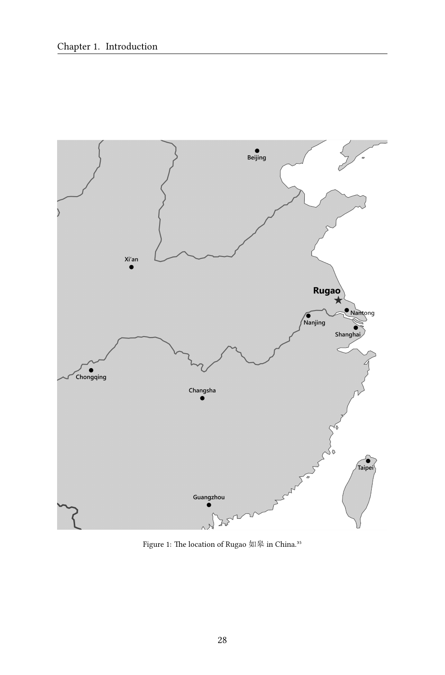

Figure 1: The location of Rugao 如皋 in China.³⁵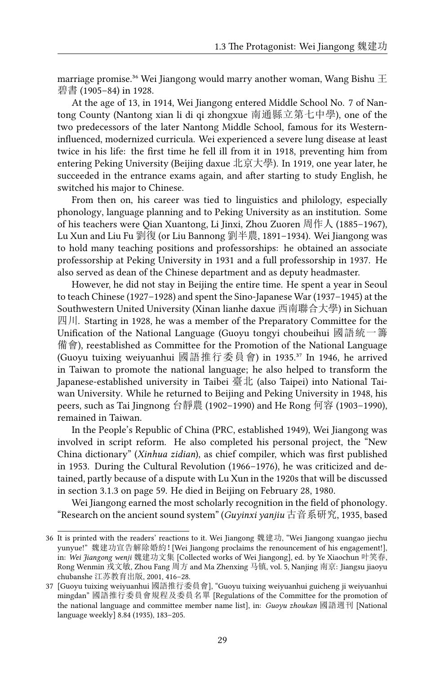marriage promise.<sup>36</sup> Wei Jiangong would marry another woman, Wang Bishu  $\pm$ 碧書 (1905–84) in 1928.

At the age of 13, in 1914, Wei Jiangong entered Middle School No. 7 of Nantong County (Nantong xian li di qi zhongxue 南通縣立第七中學), one of the two predecessors of the later Nantong Middle School, famous for its Westerninfluenced, modernized curricula. Wei experienced a severe lung disease at least twice in his life: the first time he fell ill from it in 1918, preventing him from entering Peking University (Beijing daxue 北京大學). In 1919, one year later, he succeeded in the entrance exams again, and after starting to study English, he switched his major to Chinese.

From then on, his career was tied to linguistics and philology, especially phonology, language planning and to Peking University as an institution. Some of his teachers were Qian Xuantong, Li Jinxi, Zhou Zuoren 周作人 (1885–1967), Lu Xun and Liu Fu 劉復 (or Liu Bannong 劉半農, 1891–1934). Wei Jiangong was to hold many teaching positions and professorships: he obtained an associate professorship at Peking University in 1931 and a full professorship in 1937. He also served as dean of the Chinese department and as deputy headmaster.

However, he did not stay in Beijing the entire time. He spent a year in Seoul to teach Chinese (1927–1928) and spent the Sino-Japanese War (1937–1945) at the Southwestern United University (Xinan lianhe daxue 西南聯合大學) in Sichuan 四川. Starting in 1928, he was a member of the Preparatory Committee for the Unification of the National Language (Guoyu tongyi choubeihui 國語統一籌 備會), reestablished as Committee for the Promotion of the National Language (Guoyu tuixing weiyuanhui 國語推行委員會) in 1935.<sup>37</sup> In 1946, he arrived in Taiwan to promote the national language; he also helped to transform the Japanese-established university in Taibei 臺北 (also Taipei) into National Taiwan University. While he returned to Beijing and Peking University in 1948, his peers, such as Tai Jingnong 台靜農 (1902–1990) and He Rong 何容 (1903–1990), remained in Taiwan.

In the People's Republic of China (PRC, established 1949), Wei Jiangong was involved in script reform. He also completed his personal project, the "New China dictionary" (*Xinhua zidian*), as chief compiler, which was first published in 1953. During the Cultural Revolution (1966–1976), he was criticized and detained, partly because of a dispute with Lu Xun in the 1920s that will be discussed in section 3.1.3 on page 59. He died in Beijing on February 28, 1980.

Wei Jiangong earned the most scholarly recognition in the field of phonology. "Research on the ancient sound system" (*Guyinxi yanjiu* 古音系研究, 1935, based

<sup>36</sup> It is printed with the readers' reactions to it. Wei Jiangong 魏建功, "Wei Jiangong xuangao jiechu yunyue!" 魏建功宣告解除婚約![Wei Jiangong proclaims the renouncement of his engagement!], in: *Wei Jiangong wenji* 魏建功文集 [Collected works of Wei Jiangong], ed. by Ye Xiaochun 叶笑春, Rong Wenmin 戎文敏, Zhou Fang 周方 and Ma Zhenxing 马镇, vol. 5, Nanjing 南京: Jiangsu jiaoyu chubanshe 江苏教育出版, 2001, 416–28.

<sup>37</sup> [Guoyu tuixing weiyuanhui 國語推行委員會], "Guoyu tuixing weiyuanhui guicheng ji weiyuanhui mingdan" 國語推行委員會規程及委員名單 [Regulations of the Committee for the promotion of the national language and committee member name list], in: *Guoyu zhoukan* 國語週刊 [National language weekly] 8.84 (1935), 183–205.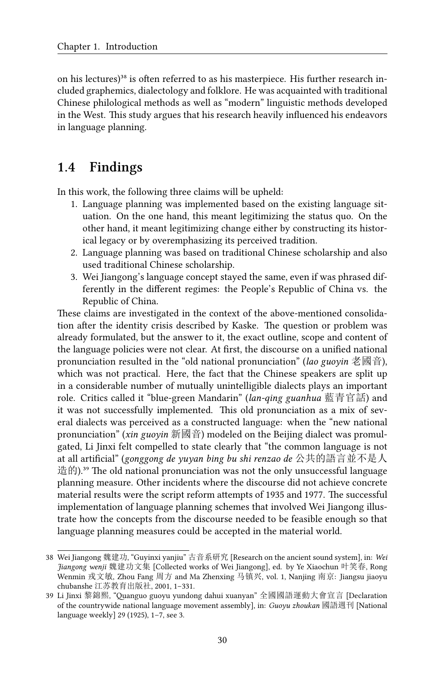on his lectures)<sup>38</sup> is often referred to as his masterpiece. His further research included graphemics, dialectology and folklore. He was acquainted with traditional Chinese philological methods as well as "modern" linguistic methods developed in the West. This study argues that his research heavily influenced his endeavors in language planning.

## **1.4 Findings**

In this work, the following three claims will be upheld:

- 1. Language planning was implemented based on the existing language situation. On the one hand, this meant legitimizing the status quo. On the other hand, it meant legitimizing change either by constructing its historical legacy or by overemphasizing its perceived tradition.
- 2. Language planning was based on traditional Chinese scholarship and also used traditional Chinese scholarship.
- 3. Wei Jiangong's language concept stayed the same, even if was phrased differently in the different regimes: the People's Republic of China vs. the Republic of China.

These claims are investigated in the context of the above-mentioned consolidation after the identity crisis described by Kaske. The question or problem was already formulated, but the answer to it, the exact outline, scope and content of the language policies were not clear. At first, the discourse on a unified national pronunciation resulted in the "old national pronunciation" (*lao guoyin* 老國音), which was not practical. Here, the fact that the Chinese speakers are split up in a considerable number of mutually unintelligible dialects plays an important role. Critics called it "blue-green Mandarin" (*lan-qing guanhua* 藍青官話) and it was not successfully implemented. This old pronunciation as a mix of several dialects was perceived as a constructed language: when the "new national pronunciation" (*xin guoyin* 新國音) modeled on the Beijing dialect was promulgated, Li Jinxi felt compelled to state clearly that "the common language is not at all artificial" (*gonggong de yuyan bing bu shi renzao de* 公共的語言並不是人 造的).<sup>39</sup> The old national pronunciation was not the only unsuccessful language planning measure. Other incidents where the discourse did not achieve concrete material results were the script reform attempts of 1935 and 1977. The successful implementation of language planning schemes that involved Wei Jiangong illustrate how the concepts from the discourse needed to be feasible enough so that language planning measures could be accepted in the material world.

<sup>38</sup> Wei Jiangong 魏建功, "Guyinxi yanjiu" 古音系研究 [Research on the ancient sound system], in: *Wei Jiangong wenji* 魏建功文集 [Collected works of Wei Jiangong], ed. by Ye Xiaochun 叶笑春, Rong Wenmin 戎文敏, Zhou Fang 周方 and Ma Zhenxing 马镇兴, vol. 1, Nanjing 南京: Jiangsu jiaoyu chubanshe 江苏教育出版社, 2001, 1–331.

<sup>39</sup> Li Jinxi 黎錦熙, "Quanguo guoyu yundong dahui xuanyan" 全國國語運動大會宣言 [Declaration of the countrywide national language movement assembly], in: *Guoyu zhoukan* 國語週刊 [National language weekly] 29 (1925), 1–7, see 3.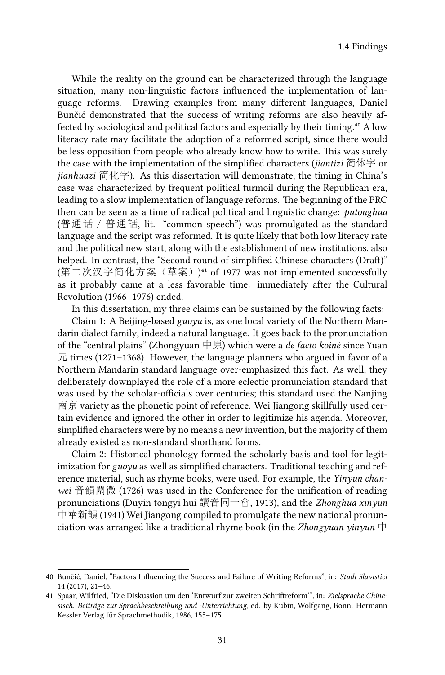While the reality on the ground can be characterized through the language situation, many non-linguistic factors influenced the implementation of language reforms. Drawing examples from many different languages, Daniel Bunčić demonstrated that the success of writing reforms are also heavily affected by sociological and political factors and especially by their timing.<sup>40</sup> A low literacy rate may facilitate the adoption of a reformed script, since there would be less opposition from people who already know how to write. This was surely the case with the implementation of the simplified characters (*jiantizi* 简体字 or *jianhuazi* 简化字). As this dissertation will demonstrate, the timing in China's case was characterized by frequent political turmoil during the Republican era, leading to a slow implementation of language reforms. The beginning of the PRC then can be seen as a time of radical political and linguistic change: *putonghua* (普通话/普通話, lit. "common speech") was promulgated as the standard language and the script was reformed. It is quite likely that both low literacy rate and the political new start, along with the establishment of new institutions, also helped. In contrast, the "Second round of simplified Chinese characters (Draft)" (第二次汉字简化方案(草案))<sup>41</sup> of 1977 was not implemented successfully as it probably came at a less favorable time: immediately after the Cultural Revolution (1966–1976) ended.

In this dissertation, my three claims can be sustained by the following facts:

Claim 1: A Beijing-based *guoyu* is, as one local variety of the Northern Mandarin dialect family, indeed a natural language. It goes back to the pronunciation of the "central plains" (Zhongyuan 中原) which were a *de facto koiné* since Yuan  $\overrightarrow{\pi}$  times (1271–1368). However, the language planners who argued in favor of a Northern Mandarin standard language over-emphasized this fact. As well, they deliberately downplayed the role of a more eclectic pronunciation standard that was used by the scholar-officials over centuries; this standard used the Nanjing 南京 variety as the phonetic point of reference. Wei Jiangong skillfully used certain evidence and ignored the other in order to legitimize his agenda. Moreover, simplified characters were by no means a new invention, but the majority of them already existed as non-standard shorthand forms.

Claim 2: Historical phonology formed the scholarly basis and tool for legitimization for *guoyu* as well as simplified characters. Traditional teaching and reference material, such as rhyme books, were used. For example, the *Yinyun chanwei* 音韻闡微 (1726) was used in the Conference for the unification of reading pronunciations (Duyin tongyi hui 讀音同一會, 1913), and the *Zhonghua xinyun* 中華新韻 (1941) Wei Jiangong compiled to promulgate the new national pronunciation was arranged like a traditional rhyme book (in the *Zhongyuan yinyun* 中

<sup>40</sup> Bunčić, Daniel, "Factors Influencing the Success and Failure of Writing Reforms", in: *Studi Slavistici* 14 (2017), 21–46.

<sup>41</sup> Spaar, Wilfried, "Die Diskussion um den 'Entwurf zur zweiten Schriftreform'", in: *Zielsprache Chinesisch. Beiträge zur Sprachbeschreibung und -Unterrichtung*, ed. by Kubin, Wolfgang, Bonn: Hermann Kessler Verlag für Sprachmethodik, 1986, 155–175.